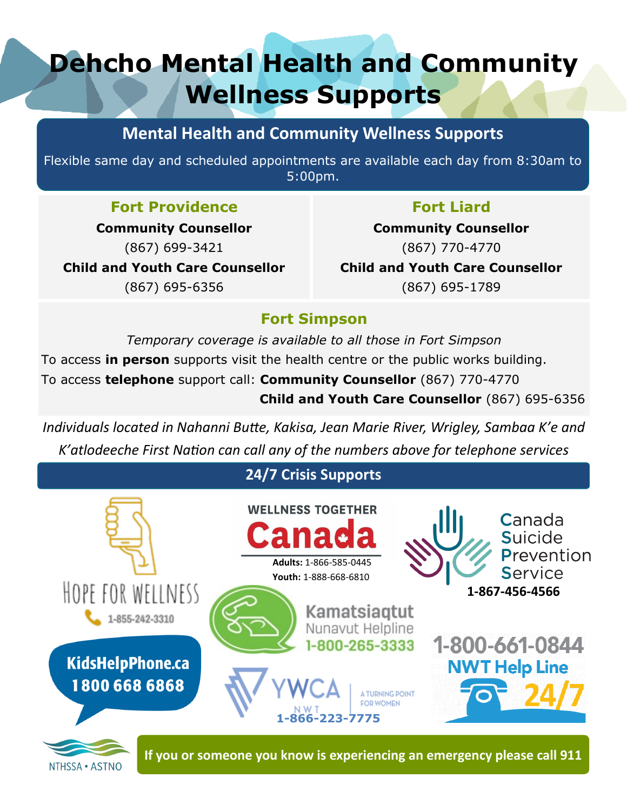## **Dehcho Mental Health and Community Wellness Supports**

## **Mental Health and Community Wellness Supports**

Flexible same day and scheduled appointments are available each day from 8:30am to 5:00pm.

## **Fort Providence**

**Community Counsellor** (867) 699-3421 **Child and Youth Care Counsellor** (867) 695-6356

## **Fort Liard**

**Community Counsellor** (867) 770-4770 **Child and Youth Care Counsellor** (867) 695-1789

## **Fort Simpson**

*Temporary coverage is available to all those in Fort Simpson* To access **in person** supports visit the health centre or the public works building. To access **telephone** support call: **Community Counsellor** (867) 770-4770  **Child and Youth Care Counsellor** (867) 695-6356

*Individuals located in Nahanni Butte, Kakisa, Jean Marie River, Wrigley, Sambaa K'e and K'atlodeeche First Nation can call any of the numbers above for telephone services*

## **24/7 Crisis Supports**